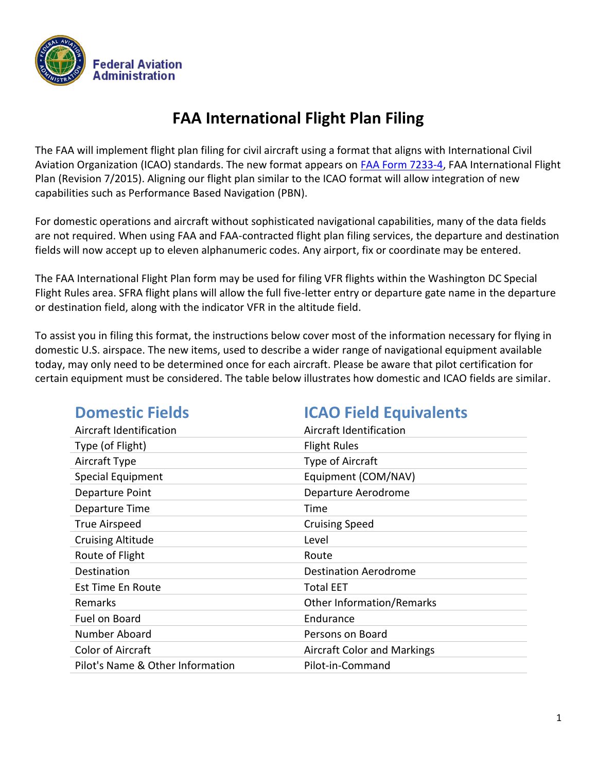

# **FAA International Flight Plan Filing**

The FAA will implement flight plan filing for civil aircraft using a format that aligns with International Civil Aviation Organization (ICAO) standards. The new format appears on [FAA Form 7233-4,](https://www.faa.gov/documentLibrary/media/Form/FAA_7233-4_PRA_07-31-2017.pdf) FAA International Flight Plan (Revision 7/2015). Aligning our flight plan similar to the ICAO format will allow integration of new capabilities such as Performance Based Navigation (PBN).

For domestic operations and aircraft without sophisticated navigational capabilities, many of the data fields are not required. When using FAA and FAA-contracted flight plan filing services, the departure and destination fields will now accept up to eleven alphanumeric codes. Any airport, fix or coordinate may be entered.

The FAA International Flight Plan form may be used for filing VFR flights within the Washington DC Special Flight Rules area. SFRA flight plans will allow the full five-letter entry or departure gate name in the departure or destination field, along with the indicator VFR in the altitude field.

To assist you in filing this format, the instructions below cover most of the information necessary for flying in domestic U.S. airspace. The new items, used to describe a wider range of navigational equipment available today, may only need to be determined once for each aircraft. Please be aware that pilot certification for certain equipment must be considered. The table below illustrates how domestic and ICAO fields are similar.

| <b>Domestic Fields</b>           | <b>ICAO Field Equivalents</b>      |
|----------------------------------|------------------------------------|
| Aircraft Identification          | Aircraft Identification            |
| Type (of Flight)                 | <b>Flight Rules</b>                |
| Aircraft Type                    | Type of Aircraft                   |
| <b>Special Equipment</b>         | Equipment (COM/NAV)                |
| Departure Point                  | Departure Aerodrome                |
| Departure Time                   | Time                               |
| <b>True Airspeed</b>             | <b>Cruising Speed</b>              |
| <b>Cruising Altitude</b>         | Level                              |
| Route of Flight                  | Route                              |
| Destination                      | <b>Destination Aerodrome</b>       |
| Est Time En Route                | <b>Total EET</b>                   |
| Remarks                          | <b>Other Information/Remarks</b>   |
| Fuel on Board                    | Endurance                          |
| Number Aboard                    | Persons on Board                   |
| <b>Color of Aircraft</b>         | <b>Aircraft Color and Markings</b> |
| Pilot's Name & Other Information | Pilot-in-Command                   |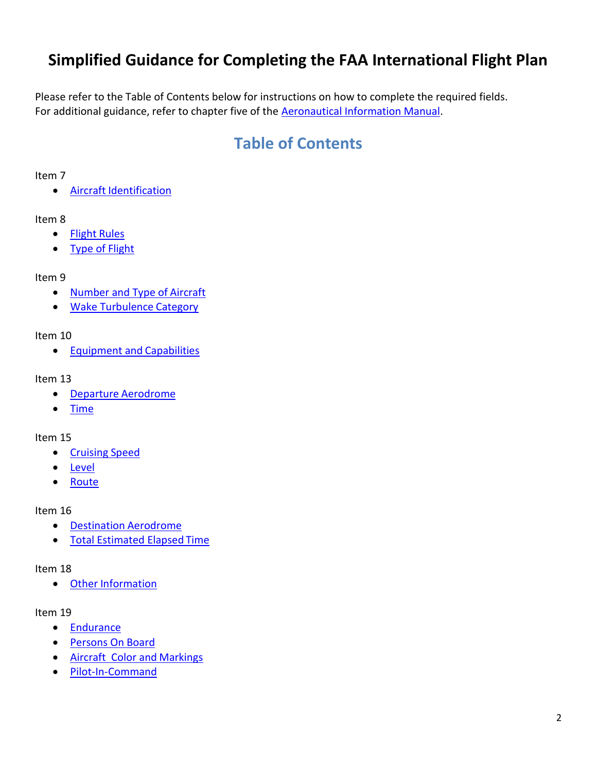# **Simplified Guidance for Completing the FAA International Flight Plan**

Please refer to the Table of Contents below for instructions on how to complete the required fields. For additional guidance, refer to chapter five of the **Aeronautical Information Manual**.

# **Table of Contents**

#### Item 7

Aircraft [Identification](#page-2-0)

#### Item 8

- [Flight](#page-2-1) Rules
- [Type of](#page-2-1) Flight

#### Item 9

- [Number and Type of](#page-2-2) Aircraft
- [Wake Turbulence](#page-2-2) Category

#### Item 10

**[Equipment and](#page-2-3) Capabilities** 

#### Item 13

- Departure [Aerodrome](#page-3-0)
- [Time](#page-3-0)

#### Item 15

- [Cruising](#page-3-1) Speed
- [Level](#page-3-1)
- [Route](#page-3-1)

#### Item 16

- **•** [Destination](#page-4-0) Aerodrome
- [Total Estimated Elapsed](#page-4-0) Time

#### Item 18

Other [Information](#page-4-1)

#### Item 19

- [Endurance](#page-5-0)
- [Persons On](#page-5-0) Board
- [Aircraft Color and](#page-5-0) Markings
- [Pilot-In-Command](#page-5-0)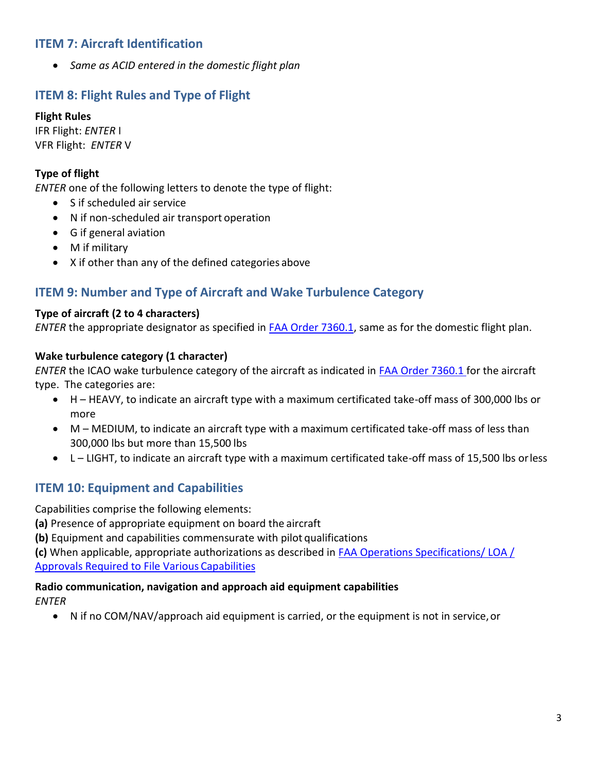## <span id="page-2-0"></span>**ITEM 7: Aircraft Identification**

*Same as ACID entered in the domestic flight plan*

## <span id="page-2-1"></span>**ITEM 8: Flight Rules and Type of Flight**

#### **Flight Rules**

IFR Flight: *ENTER* I VFR Flight: *ENTER* V

### **Type of flight**

*ENTER* one of the following letters to denote the type of flight:

- S if scheduled air service
- N if non-scheduled air transport operation
- G if general aviation
- M if military
- X if other than any of the defined categories above

## <span id="page-2-2"></span>**ITEM 9: Number and Type of Aircraft and Wake Turbulence Category**

#### **Type of aircraft (2 to 4 characters)**

*ENTER* the appropriate designator as specified in [FAA Order 7360.1,](http://www.faa.gov/documentLibrary/media/Order/Order_7360.1_.pdf) same as for the domestic flight plan.

#### **Wake turbulence category (1 character)**

*ENTER* the ICAO wake turbulence category of the aircraft as indicated in [FAA Order 7360.1 f](http://www.faa.gov/documentLibrary/media/Order/Order_7360.1_.pdf)or the aircraft type. The categories are:

- H HEAVY, to indicate an aircraft type with a maximum certificated take-off mass of 300,000 lbs or more
- M MEDIUM, to indicate an aircraft type with a maximum certificated take-off mass of less than 300,000 lbs but more than 15,500 lbs
- L LIGHT, to indicate an aircraft type with a maximum certificated take-off mass of 15,500 lbs orless

## <span id="page-2-3"></span>**ITEM 10: Equipment and Capabilities**

Capabilities comprise the following elements:

**(a)** Presence of appropriate equipment on board the aircraft

**(b)** Equipment and capabilities commensurate with pilot qualifications

**(c)** When applicable, appropriate authorizations as described in [FAA Operations Specifications/ LOA /](http://www.faa.gov/about/office_org/headquarters_offices/ato/service_units/air_traffic_services/flight_plan_filing/media/op_approval_guidance.pdf)  [Approvals Required to File Various](http://www.faa.gov/about/office_org/headquarters_offices/ato/service_units/air_traffic_services/flight_plan_filing/media/op_approval_guidance.pdf) Capabilities

#### **Radio communication, navigation and approach aid equipment capabilities**

*ENTER*

N if no COM/NAV/approach aid equipment is carried, or the equipment is not in service,or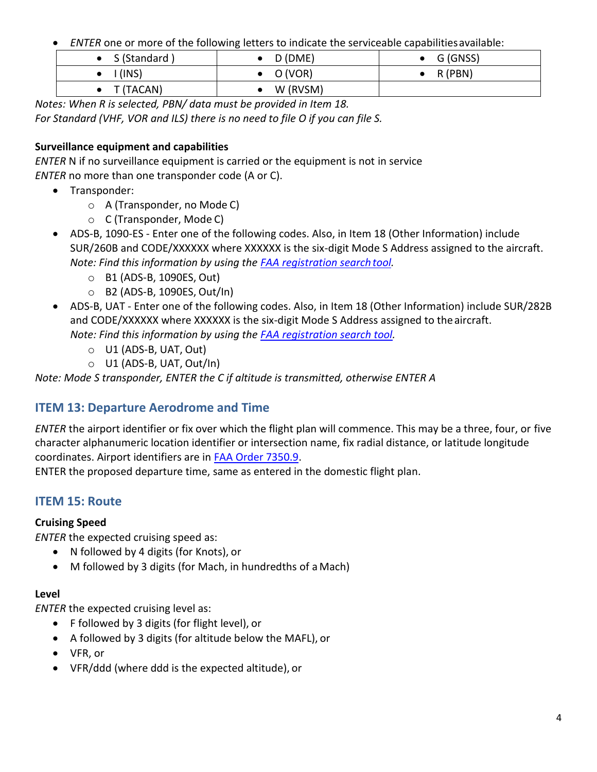*ENTER* one or more of the following letters to indicate the serviceable capabilitiesavailable:

| $\bullet$ S (Standard) | D (DME)  | G (GNSS)  |
|------------------------|----------|-----------|
| (INS)                  | O (VOR)  | $R$ (PBN) |
| T (TACAN)              | W (RVSM) |           |

*Notes: When R is selected, PBN/ data must be provided in Item 18. For Standard (VHF, VOR and ILS) there is no need to file O if you can file S.*

## **Surveillance equipment and capabilities**

*ENTER* N if no surveillance equipment is carried or the equipment is not in service *ENTER* no more than one transponder code (A or C).

- Transponder:
	- o A (Transponder, no Mode C)
	- o C (Transponder, Mode C)
- ADS-B, 1090-ES Enter one of the following codes. Also, in Item 18 (Other Information) include SUR/260B and CODE/XXXXXX where XXXXXX is the six-digit Mode S Address assigned to the aircraft. *Note: Find this information by using the [FAA registration search](http://registry.faa.gov/aircraftinquiry/nnum_inquiry.aspx) tool.*
	- o B1 (ADS-B, 1090ES, Out)
	- o B2 (ADS-B, 1090ES, Out/In)
- ADS-B, UAT Enter one of the following codes. Also, in Item 18 (Other Information) include SUR/282B and CODE/XXXXXX where XXXXXX is the six-digit Mode S Address assigned to the aircraft.
	- *Note: Find this information by using the [FAA registration search tool.](http://registry.faa.gov/aircraftinquiry/nnum_inquiry.aspx)*
		- o U1 (ADS-B, UAT, Out)
		- o U1 (ADS-B, UAT, Out/In)

*Note: Mode S transponder, ENTER the C if altitude is transmitted, otherwise ENTER A*

# <span id="page-3-0"></span>**ITEM 13: Departure Aerodrome and Time**

*ENTER* the airport identifier or fix over which the flight plan will commence. This may be a three, four, or five character alphanumeric location identifier or intersection name, fix radial distance, or latitude longitude coordinates. Airport identifiers are in [FAA Order 7350.9.](http://www.faa.gov/documentLibrary/media/Order/Location_Identifier_7350.9E_2-4-16.pdf)

ENTER the proposed departure time, same as entered in the domestic flight plan.

# <span id="page-3-1"></span>**ITEM 15: Route**

## **Cruising Speed**

*ENTER* the expected cruising speed as:

- N followed by 4 digits (for Knots), or
- M followed by 3 digits (for Mach, in hundredths of a Mach)

## **Level**

*ENTER* the expected cruising level as:

- F followed by 3 digits (for flight level), or
- A followed by 3 digits (for altitude below the MAFL), or
- VFR, or
- VFR/ddd (where ddd is the expected altitude), or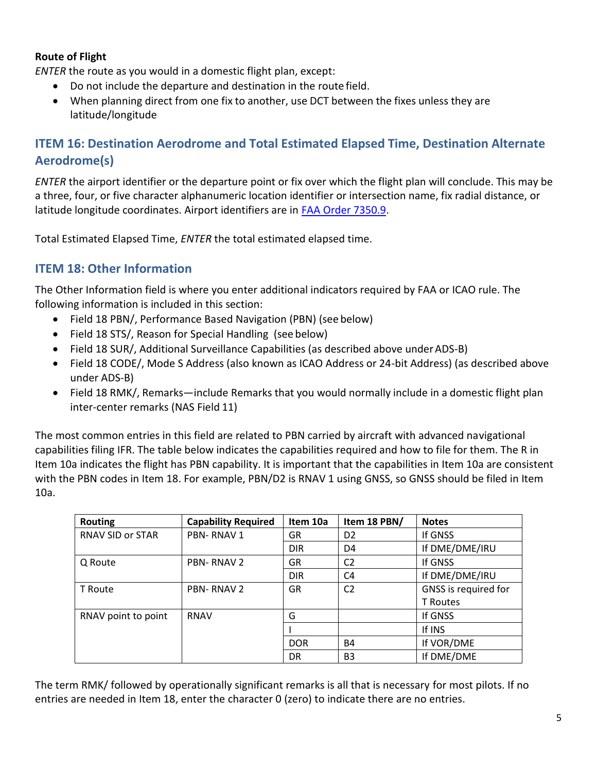#### **Route of Flight**

*ENTER* the route as you would in a domestic flight plan, except:

- Do not include the departure and destination in the route field.
- When planning direct from one fix to another, use DCT between the fixes unless they are latitude/longitude

## <span id="page-4-0"></span>**ITEM 16: Destination Aerodrome and Total Estimated Elapsed Time, Destination Alternate Aerodrome(s)**

*ENTER* the airport identifier or the departure point or fix over which the flight plan will conclude. This may be a three, four, or five character alphanumeric location identifier or intersection name, fix radial distance, or latitude longitude coordinates. Airport identifiers are in [FAA Order 7350.9.](http://www.faa.gov/documentLibrary/media/Order/Location_Identifier_7350.9E_2-4-16.pdf)

Total Estimated Elapsed Time, *ENTER* the total estimated elapsed time.

## <span id="page-4-1"></span>**ITEM 18: Other Information**

The Other Information field is where you enter additional indicators required by FAA or ICAO rule. The following information is included in this section:

- Field 18 PBN/, Performance Based Navigation (PBN) (see below)
- Field 18 STS/, Reason for Special Handling (see below)
- Field 18 SUR/, Additional Surveillance Capabilities (as described above underADS-B)
- Field 18 CODE/, Mode S Address (also known as ICAO Address or 24-bit Address) (as described above under ADS-B)
- Field 18 RMK/, Remarks—include Remarks that you would normally include in a domestic flight plan inter-center remarks (NAS Field 11)

The most common entries in this field are related to PBN carried by aircraft with advanced navigational capabilities filing IFR. The table below indicates the capabilities required and how to file for them. The R in Item 10a indicates the flight has PBN capability. It is important that the capabilities in Item 10a are consistent with the PBN codes in Item 18. For example, PBN/D2 is RNAV 1 using GNSS, so GNSS should be filed in Item 10a.

| <b>Routing</b>          | <b>Capability Required</b> | Item 10a   | Item 18 PBN/   | <b>Notes</b>         |
|-------------------------|----------------------------|------------|----------------|----------------------|
| <b>RNAV SID or STAR</b> | <b>PBN-RNAV1</b>           | GR         | D <sub>2</sub> | If GNSS              |
|                         |                            | <b>DIR</b> | D <sub>4</sub> | If DME/DME/IRU       |
| Q Route                 | <b>PBN-RNAV2</b>           | GR         | C <sub>2</sub> | If GNSS              |
|                         |                            | <b>DIR</b> | C <sub>4</sub> | If DME/DME/IRU       |
| T Route                 | <b>PBN-RNAV2</b>           | GR         | C <sub>2</sub> | GNSS is required for |
|                         |                            |            |                | <b>T</b> Routes      |
| RNAV point to point     | <b>RNAV</b>                | G          |                | If GNSS              |
|                         |                            |            |                | If INS               |
|                         |                            | <b>DOR</b> | <b>B4</b>      | If VOR/DME           |
|                         |                            | DR         | B <sub>3</sub> | If DME/DME           |

The term RMK/ followed by operationally significant remarks is all that is necessary for most pilots. If no entries are needed in Item 18, enter the character 0 (zero) to indicate there are no entries.